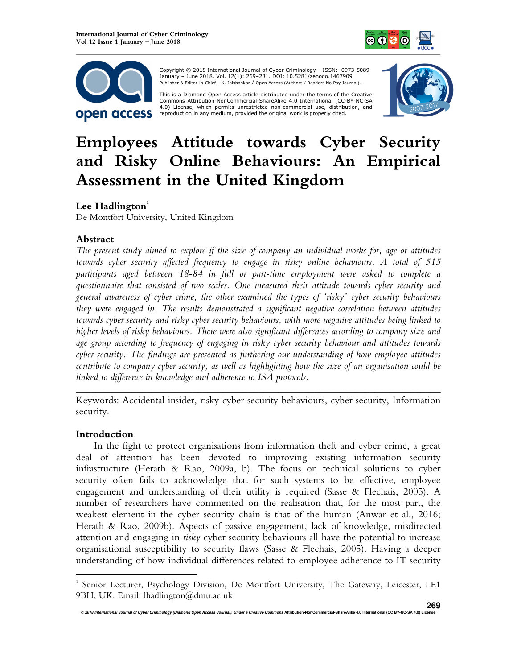



 Copyright © 2018 International Journal of Cyber Criminology – ISSN: 0973-5089 January – June 2018. Vol. 12(1): 269–281. DOI: 10.5281/zenodo.1467909 Publisher & Editor-in-Chief – K. Jaishankar / Open Access (Authors / Readers No Pay Journal).

This is a Diamond Open Access article distributed under the terms of the Creative<br>Commons Attribution-NonCommercial-ShareAlike 4.0 International (CC-BY-NC-SA 4.0) License, which permits unrestricted non-commercial use, distribution, and reproduction in any medium, provided the original work is properly cited.



# **Employees Attitude towards Cyber Security and Risky Online Behaviours: An Empirical Assessment in the United Kingdom**

# Lee Hadlington<sup>1</sup>

De Montfort University, United Kingdom

# **Abstract**

*The present study aimed to explore if the size of company an individual works for, age or attitudes towards cyber security affected frequency to engage in risky online behaviours. A total of 515 participants aged between 18-84 in full or part-time employment were asked to complete a questionnaire that consisted of two scales. One measured their attitude towards cyber security and general awareness of cyber crime, the other examined the types of 'risky' cyber security behaviours they were engaged in. The results demonstrated a significant negative correlation between attitudes towards cyber security and risky cyber security behaviours, with more negative attitudes being linked to higher levels of risky behaviours. There were also significant differences according to company size and age group according to frequency of engaging in risky cyber security behaviour and attitudes towards cyber security. The findings are presented as furthering our understanding of how employee attitudes contribute to company cyber security, as well as highlighting how the size of an organisation could be linked to difference in knowledge and adherence to ISA protocols.* 

*\_\_\_\_\_\_\_\_\_\_\_\_\_\_\_\_\_\_\_\_\_\_\_\_\_\_\_\_\_\_\_\_\_\_\_\_\_\_\_\_\_\_\_\_\_\_\_\_\_\_\_\_\_\_\_\_\_\_\_\_\_\_\_\_\_\_\_\_\_\_\_\_*  Keywords: Accidental insider, risky cyber security behaviours, cyber security, Information security.

## **Introduction**

 $\overline{a}$ 

In the fight to protect organisations from information theft and cyber crime, a great deal of attention has been devoted to improving existing information security infrastructure (Herath & Rao, 2009a, b). The focus on technical solutions to cyber security often fails to acknowledge that for such systems to be effective, employee engagement and understanding of their utility is required (Sasse & Flechais, 2005). A number of researchers have commented on the realisation that, for the most part, the weakest element in the cyber security chain is that of the human (Anwar et al., 2016; Herath & Rao, 2009b). Aspects of passive engagement, lack of knowledge, misdirected attention and engaging in *risky* cyber security behaviours all have the potential to increase organisational susceptibility to security flaws (Sasse & Flechais, 2005). Having a deeper understanding of how individual differences related to employee adherence to IT security

<sup>1</sup> Senior Lecturer, Psychology Division, De Montfort University, The Gateway, Leicester, LE1 9BH, UK. Email: lhadlington@dmu.ac.uk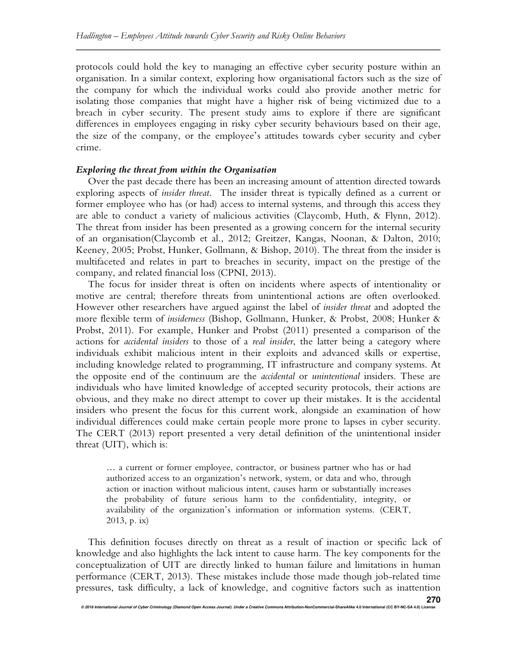protocols could hold the key to managing an effective cyber security posture within an organisation. In a similar context, exploring how organisational factors such as the size of the company for which the individual works could also provide another metric for isolating those companies that might have a higher risk of being victimized due to a breach in cyber security. The present study aims to explore if there are significant differences in employees engaging in risky cyber security behaviours based on their age, the size of the company, or the employee's attitudes towards cyber security and cyber crime.

## *Exploring the threat from within the Organisation*

Over the past decade there has been an increasing amount of attention directed towards exploring aspects of *insider threat*. The insider threat is typically defined as a current or former employee who has (or had) access to internal systems, and through this access they are able to conduct a variety of malicious activities (Claycomb, Huth, & Flynn, 2012). The threat from insider has been presented as a growing concern for the internal security of an organisation(Claycomb et al., 2012; Greitzer, Kangas, Noonan, & Dalton, 2010; Keeney, 2005; Probst, Hunker, Gollmann, & Bishop, 2010). The threat from the insider is multifaceted and relates in part to breaches in security, impact on the prestige of the company, and related financial loss (CPNI, 2013).

The focus for insider threat is often on incidents where aspects of intentionality or motive are central; therefore threats from unintentional actions are often overlooked. However other researchers have argued against the label of *insider threat* and adopted the more flexible term of *insiderness* (Bishop, Gollmann, Hunker, & Probst, 2008; Hunker & Probst, 2011). For example, Hunker and Probst (2011) presented a comparison of the actions for *accidental insiders* to those of a *real insider*, the latter being a category where individuals exhibit malicious intent in their exploits and advanced skills or expertise, including knowledge related to programming, IT infrastructure and company systems. At the opposite end of the continuum are the *accidental* or *unintentional* insiders. These are individuals who have limited knowledge of accepted security protocols, their actions are obvious, and they make no direct attempt to cover up their mistakes. It is the accidental insiders who present the focus for this current work, alongside an examination of how individual differences could make certain people more prone to lapses in cyber security. The CERT (2013) report presented a very detail definition of the unintentional insider threat (UIT), which is:

… a current or former employee, contractor, or business partner who has or had authorized access to an organization's network, system, or data and who, through action or inaction without malicious intent, causes harm or substantially increases the probability of future serious harm to the confidentiality, integrity, or availability of the organization's information or information systems. (CERT, 2013, p. ix)

This definition focuses directly on threat as a result of inaction or specific lack of knowledge and also highlights the lack intent to cause harm. The key components for the conceptualization of UIT are directly linked to human failure and limitations in human performance (CERT, 2013). These mistakes include those made though job-related time pressures, task difficulty, a lack of knowledge, and cognitive factors such as inattention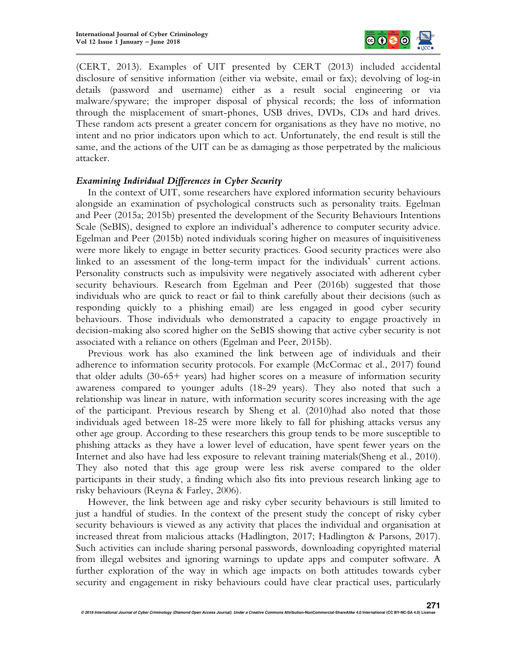

(CERT, 2013). Examples of UIT presented by CERT (2013) included accidental disclosure of sensitive information (either via website, email or fax); devolving of log-in details (password and username) either as a result social engineering or via malware/spyware; the improper disposal of physical records; the loss of information through the misplacement of smart-phones, USB drives, DVDs, CDs and hard drives. These random acts present a greater concern for organisations as they have no motive, no intent and no prior indicators upon which to act. Unfortunately, the end result is still the same, and the actions of the UIT can be as damaging as those perpetrated by the malicious attacker.

## *Examining Individual Differences in Cyber Security*

In the context of UIT, some researchers have explored information security behaviours alongside an examination of psychological constructs such as personality traits. Egelman and Peer (2015a; 2015b) presented the development of the Security Behaviours Intentions Scale (SeBIS), designed to explore an individual's adherence to computer security advice. Egelman and Peer (2015b) noted individuals scoring higher on measures of inquisitiveness were more likely to engage in better security practices. Good security practices were also linked to an assessment of the long-term impact for the individuals' current actions. Personality constructs such as impulsivity were negatively associated with adherent cyber security behaviours. Research from Egelman and Peer (2016b) suggested that those individuals who are quick to react or fail to think carefully about their decisions (such as responding quickly to a phishing email) are less engaged in good cyber security behaviours. Those individuals who demonstrated a capacity to engage proactively in decision-making also scored higher on the SeBIS showing that active cyber security is not associated with a reliance on others (Egelman and Peer, 2015b).

Previous work has also examined the link between age of individuals and their adherence to information security protocols. For example (McCormac et al., 2017) found that older adults (30-65+ years) had higher scores on a measure of information security awareness compared to younger adults (18-29 years). They also noted that such a relationship was linear in nature, with information security scores increasing with the age of the participant. Previous research by Sheng et al. (2010)had also noted that those individuals aged between 18-25 were more likely to fall for phishing attacks versus any other age group. According to these researchers this group tends to be more susceptible to phishing attacks as they have a lower level of education, have spent fewer years on the Internet and also have had less exposure to relevant training materials(Sheng et al., 2010). They also noted that this age group were less risk averse compared to the older participants in their study, a finding which also fits into previous research linking age to risky behaviours (Reyna & Farley, 2006).

However, the link between age and risky cyber security behaviours is still limited to just a handful of studies. In the context of the present study the concept of risky cyber security behaviours is viewed as any activity that places the individual and organisation at increased threat from malicious attacks (Hadlington, 2017; Hadlington & Parsons, 2017). Such activities can include sharing personal passwords, downloading copyrighted material from illegal websites and ignoring warnings to update apps and computer software. A further exploration of the way in which age impacts on both attitudes towards cyber security and engagement in risky behaviours could have clear practical uses, particularly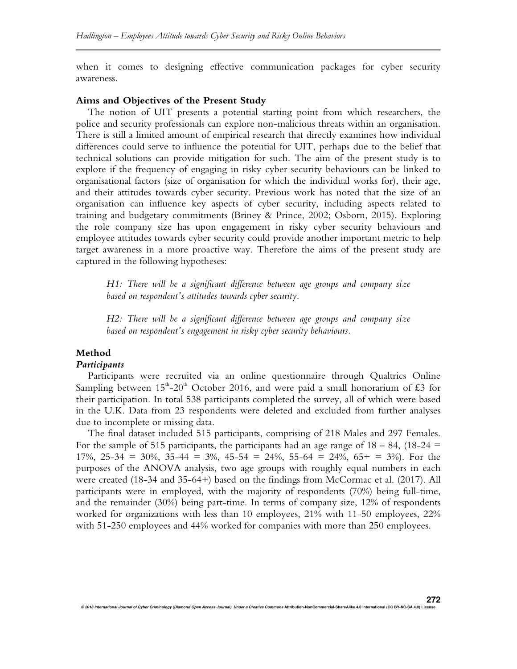when it comes to designing effective communication packages for cyber security awareness.

#### **Aims and Objectives of the Present Study**

The notion of UIT presents a potential starting point from which researchers, the police and security professionals can explore non-malicious threats within an organisation. There is still a limited amount of empirical research that directly examines how individual differences could serve to influence the potential for UIT, perhaps due to the belief that technical solutions can provide mitigation for such. The aim of the present study is to explore if the frequency of engaging in risky cyber security behaviours can be linked to organisational factors (size of organisation for which the individual works for), their age, and their attitudes towards cyber security. Previous work has noted that the size of an organisation can influence key aspects of cyber security, including aspects related to training and budgetary commitments (Briney & Prince, 2002; Osborn, 2015). Exploring the role company size has upon engagement in risky cyber security behaviours and employee attitudes towards cyber security could provide another important metric to help target awareness in a more proactive way. Therefore the aims of the present study are captured in the following hypotheses:

*H1: There will be a significant difference between age groups and company size based on respondent's attitudes towards cyber security.* 

*H2: There will be a significant difference between age groups and company size based on respondent's engagement in risky cyber security behaviours.* 

## **Method**

### *Participants*

Participants were recruited via an online questionnaire through Qualtrics Online Sampling between  $15^{\text{th}}-20^{\text{th}}$  October 2016, and were paid a small honorarium of £3 for their participation. In total 538 participants completed the survey, all of which were based in the U.K. Data from 23 respondents were deleted and excluded from further analyses due to incomplete or missing data.

The final dataset included 515 participants, comprising of 218 Males and 297 Females. For the sample of 515 participants, the participants had an age range of  $18 - 84$ , (18-24 = 17%, 25-34 = 30%, 35-44 = 3%, 45-54 = 24%, 55-64 = 24%, 65+ = 3%). For the purposes of the ANOVA analysis, two age groups with roughly equal numbers in each were created (18-34 and 35-64+) based on the findings from McCormac et al. (2017). All participants were in employed, with the majority of respondents (70%) being full-time, and the remainder (30%) being part-time. In terms of company size, 12% of respondents worked for organizations with less than 10 employees, 21% with 11-50 employees, 22% with 51-250 employees and 44% worked for companies with more than 250 employees.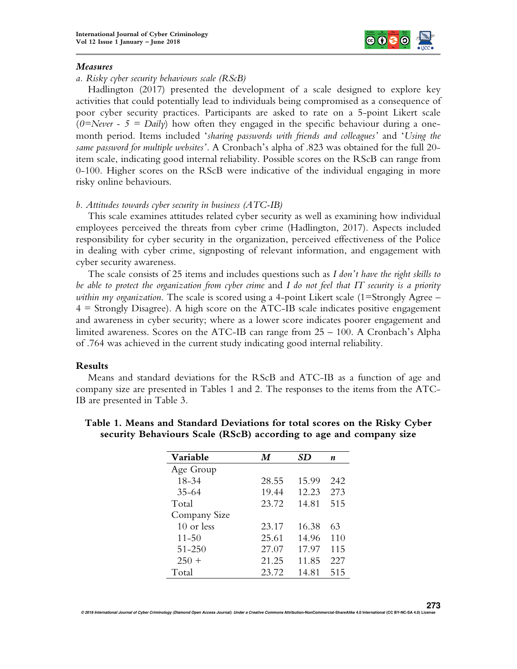

### *Measures*

## *a. Risky cyber security behaviours scale (RScB)*

Hadlington (2017) presented the development of a scale designed to explore key activities that could potentially lead to individuals being compromised as a consequence of poor cyber security practices. Participants are asked to rate on a 5-point Likert scale  $(0=Neve + 5 = Daily)$  how often they engaged in the specific behaviour during a onemonth period. Items included '*sharing passwords with friends and colleagues'* and '*Using the same password for multiple websites'*. A Cronbach's alpha of .823 was obtained for the full 20 item scale, indicating good internal reliability. Possible scores on the RScB can range from 0-100. Higher scores on the RScB were indicative of the individual engaging in more risky online behaviours.

## *b. Attitudes towards cyber security in business (ATC-IB)*

This scale examines attitudes related cyber security as well as examining how individual employees perceived the threats from cyber crime (Hadlington, 2017). Aspects included responsibility for cyber security in the organization, perceived effectiveness of the Police in dealing with cyber crime, signposting of relevant information, and engagement with cyber security awareness.

The scale consists of 25 items and includes questions such as *I don't have the right skills to be able to protect the organization from cyber crime* and *I do not feel that IT security is a priority within my organization*. The scale is scored using a 4-point Likert scale (1=Strongly Agree –  $4 =$  Strongly Disagree). A high score on the ATC-IB scale indicates positive engagement and awareness in cyber security; where as a lower score indicates poorer engagement and limited awareness. Scores on the ATC-IB can range from 25 – 100. A Cronbach's Alpha of .764 was achieved in the current study indicating good internal reliability.

## **Results**

Means and standard deviations for the RScB and ATC-IB as a function of age and company size are presented in Tables 1 and 2. The responses to the items from the ATC-IB are presented in Table 3.

| Variable     | M     | SD    | n   |
|--------------|-------|-------|-----|
| Age Group    |       |       |     |
| 18-34        | 28.55 | 15.99 | 242 |
| $35 - 64$    | 19.44 | 12.23 | 273 |
| Total        | 23.72 | 14.81 | 515 |
| Company Size |       |       |     |
| 10 or less   | 23.17 | 16.38 | 63  |
| $11 - 50$    | 25.61 | 14.96 | 110 |
| 51-250       | 27.07 | 17.97 | 115 |
| $250 +$      | 21.25 | 11.85 | 227 |
| Total        | 23.72 | 14.81 | 515 |

# **Table 1. Means and Standard Deviations for total scores on the Risky Cyber security Behaviours Scale (RScB) according to age and company size**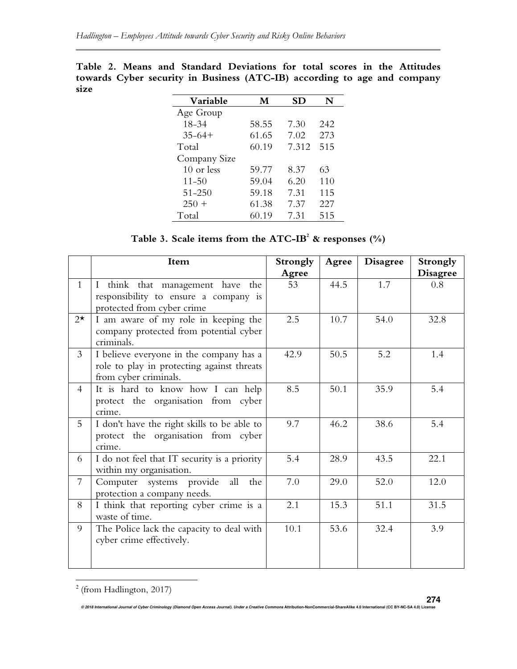| Variable     | М     | SD    | N   |
|--------------|-------|-------|-----|
| Age Group    |       |       |     |
| 18-34        | 58.55 | 7.30  | 242 |
| $35 - 64 +$  | 61.65 | 7.02  | 273 |
| Total        | 60.19 | 7.312 | 515 |
| Company Size |       |       |     |
| 10 or less   | 59.77 | 8.37  | 63  |
| $11 - 50$    | 59.04 | 6.20  | 110 |
| $51 - 250$   | 59.18 | 7.31  | 115 |
| $250 +$      | 61.38 | 7.37  | 227 |
| Total        | 60.19 | 7.31  | 515 |

**Table 2. Means and Standard Deviations for total scores in the Attitudes towards Cyber security in Business (ATC-IB) according to age and company size** 

| Table 3. Scale items from the ATC-IB <sup>2</sup> & responses $(\% )$ |  |  |  |  |
|-----------------------------------------------------------------------|--|--|--|--|
|-----------------------------------------------------------------------|--|--|--|--|

|                | Item                                                                                                           | Strongly | Agree | <b>Disagree</b> | Strongly        |
|----------------|----------------------------------------------------------------------------------------------------------------|----------|-------|-----------------|-----------------|
|                |                                                                                                                | Agree    |       |                 | <b>Disagree</b> |
| $\mathbf{1}$   | I think that management have the                                                                               | 53       | 44.5  | 1.7             | 0.8             |
|                | responsibility to ensure a company is                                                                          |          |       |                 |                 |
|                | protected from cyber crime                                                                                     |          |       |                 |                 |
| $2^{\star}$    | I am aware of my role in keeping the<br>company protected from potential cyber<br>criminals.                   | 2.5      | 10.7  | 54.0            | 32.8            |
| $\mathfrak{Z}$ | I believe everyone in the company has a<br>role to play in protecting against threats<br>from cyber criminals. | 42.9     | 50.5  | 5.2             | 1.4             |
| 4              | It is hard to know how I can help<br>protect the organisation from cyber<br>crime.                             | 8.5      | 50.1  | 35.9            | 5.4             |
| 5              | I don't have the right skills to be able to<br>protect the organisation from cyber<br>crime.                   | 9.7      | 46.2  | 38.6            | 5.4             |
| 6              | I do not feel that IT security is a priority<br>within my organisation.                                        | 5.4      | 28.9  | 43.5            | 22.1            |
| $\overline{7}$ | Computer systems provide<br>all<br>the<br>protection a company needs.                                          | 7.0      | 29.0  | 52.0            | 12.0            |
| 8              | I think that reporting cyber crime is a<br>waste of time.                                                      | 2.1      | 15.3  | 51.1            | 31.5            |
| 9              | The Police lack the capacity to deal with<br>cyber crime effectively.                                          | 10.1     | 53.6  | 32.4            | 3.9             |

 $2$  (from Hadlington, 2017)

 $\overline{a}$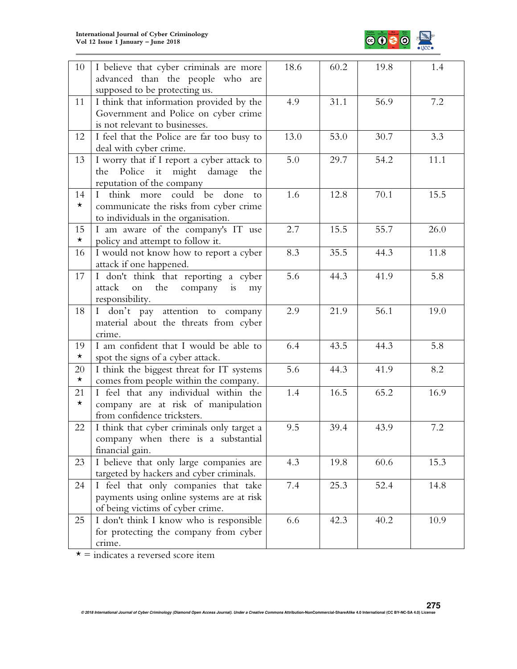

| $10\,$  | I believe that cyber criminals are more<br>advanced than the people who are | 18.6 | 60.2 | 19.8 | 1.4  |
|---------|-----------------------------------------------------------------------------|------|------|------|------|
|         | supposed to be protecting us.                                               |      |      |      |      |
| 11      | I think that information provided by the                                    | 4.9  | 31.1 | 56.9 | 7.2  |
|         | Government and Police on cyber crime                                        |      |      |      |      |
|         | is not relevant to businesses.                                              |      |      |      |      |
| 12      | I feel that the Police are far too busy to                                  | 13.0 | 53.0 | 30.7 | 3.3  |
|         | deal with cyber crime.                                                      |      |      |      |      |
| 13      | I worry that if I report a cyber attack to                                  | 5.0  | 29.7 | 54.2 | 11.1 |
|         | Police<br>it<br>might damage<br>the<br>the                                  |      |      |      |      |
|         | reputation of the company                                                   |      |      |      |      |
| 14      | I think more could be<br>done<br>to                                         | 1.6  | 12.8 | 70.1 | 15.5 |
| $\star$ | communicate the risks from cyber crime                                      |      |      |      |      |
|         | to individuals in the organisation.                                         |      |      |      |      |
| 15      | I am aware of the company's IT use                                          | 2.7  | 15.5 | 55.7 | 26.0 |
| $\star$ | policy and attempt to follow it.                                            |      |      |      |      |
| 16      | I would not know how to report a cyber                                      | 8.3  | 35.5 | 44.3 | 11.8 |
|         | attack if one happened.                                                     |      |      |      |      |
| 17      | I don't think that reporting a cyber                                        | 5.6  | 44.3 | 41.9 | 5.8  |
|         | the<br>attack<br>on<br>company<br>$\frac{1}{1}S$<br>my                      |      |      |      |      |
|         | responsibility.                                                             |      |      |      |      |
| 18      | I don't pay attention to company                                            | 2.9  | 21.9 | 56.1 | 19.0 |
|         | material about the threats from cyber                                       |      |      |      |      |
|         | crime.                                                                      |      |      |      |      |
| 19      | I am confident that I would be able to                                      | 6.4  | 43.5 | 44.3 | 5.8  |
| $\star$ | spot the signs of a cyber attack.                                           |      |      |      |      |
| 20      | I think the biggest threat for IT systems                                   | 5.6  | 44.3 | 41.9 | 8.2  |
| $\star$ | comes from people within the company.                                       |      |      |      |      |
| 21      | I feel that any individual within the                                       | 1.4  | 16.5 | 65.2 | 16.9 |
| $\star$ | company are at risk of manipulation                                         |      |      |      |      |
|         | from confidence tricksters.                                                 |      |      |      |      |
| 22      |                                                                             | 9.5  | 39.4 | 43.9 | 7.2  |
|         | I think that cyber criminals only target a                                  |      |      |      |      |
|         | company when there is a substantial                                         |      |      |      |      |
|         | financial gain.                                                             |      |      |      |      |
| 23      | I believe that only large companies are                                     | 4.3  | 19.8 | 60.6 | 15.3 |
|         | targeted by hackers and cyber criminals.                                    |      |      |      |      |
| 24      | I feel that only companies that take                                        | 7.4  | 25.3 | 52.4 | 14.8 |
|         | payments using online systems are at risk                                   |      |      |      |      |
|         | of being victims of cyber crime.                                            |      |      |      |      |
| 25      | I don't think I know who is responsible                                     | 6.6  | 42.3 | 40.2 | 10.9 |
|         | for protecting the company from cyber                                       |      |      |      |      |
|         | crime.                                                                      |      |      |      |      |

 $\star$  = indicates a reversed score item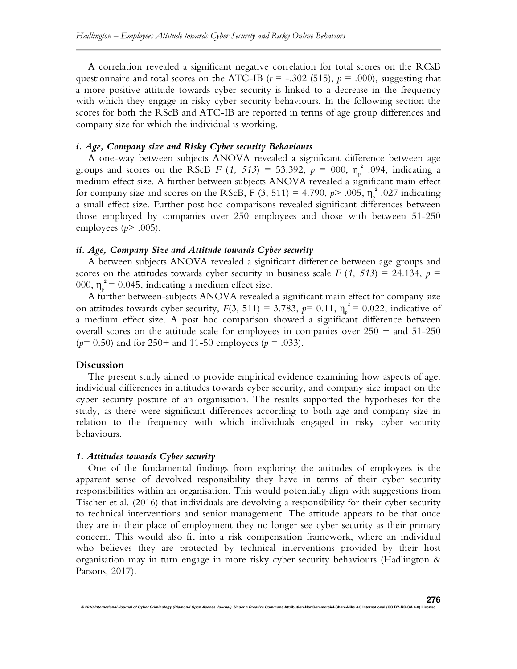A correlation revealed a significant negative correlation for total scores on the RCsB questionnaire and total scores on the ATC-IB ( $r = -.302$  (515),  $p = .000$ ), suggesting that a more positive attitude towards cyber security is linked to a decrease in the frequency with which they engage in risky cyber security behaviours. In the following section the scores for both the RScB and ATC-IB are reported in terms of age group differences and company size for which the individual is working.

#### *i. Age, Company size and Risky Cyber security Behaviours*

A one-way between subjects ANOVA revealed a significant difference between age groups and scores on the RScB *F* (1, 513) = 53.392,  $p = 000$ ,  $\eta_{p}^{2}$  .094, indicating a medium effect size. A further between subjects ANOVA revealed a significant main effect for company size and scores on the RScB, F (3, 511) = 4.790,  $p$ > .005,  $\eta_p^2$ .027 indicating a small effect size. Further post hoc comparisons revealed significant differences between those employed by companies over 250 employees and those with between 51-250 employees (*p*> .005).

## *ii. Age, Company Size and Attitude towards Cyber security*

A between subjects ANOVA revealed a significant difference between age groups and scores on the attitudes towards cyber security in business scale *F*  $(1, 513) = 24.134$ ,  $p =$ 000,  $\eta_p^2 = 0.045$ , indicating a medium effect size.

A further between-subjects ANOVA revealed a significant main effect for company size on attitudes towards cyber security,  $F(3, 511) = 3.783$ ,  $p= 0.11$ ,  $\eta_p^2 = 0.022$ , indicative of a medium effect size. A post hoc comparison showed a significant difference between overall scores on the attitude scale for employees in companies over  $250 +$  and  $51-250$ (*p*= 0.50) and for 250+ and 11-50 employees (*p* = .033).

#### **Discussion**

The present study aimed to provide empirical evidence examining how aspects of age, individual differences in attitudes towards cyber security, and company size impact on the cyber security posture of an organisation. The results supported the hypotheses for the study, as there were significant differences according to both age and company size in relation to the frequency with which individuals engaged in risky cyber security behaviours.

#### *1. Attitudes towards Cyber security*

One of the fundamental findings from exploring the attitudes of employees is the apparent sense of devolved responsibility they have in terms of their cyber security responsibilities within an organisation. This would potentially align with suggestions from Tischer et al. (2016) that individuals are devolving a responsibility for their cyber security to technical interventions and senior management. The attitude appears to be that once they are in their place of employment they no longer see cyber security as their primary concern. This would also fit into a risk compensation framework, where an individual who believes they are protected by technical interventions provided by their host organisation may in turn engage in more risky cyber security behaviours (Hadlington & Parsons, 2017).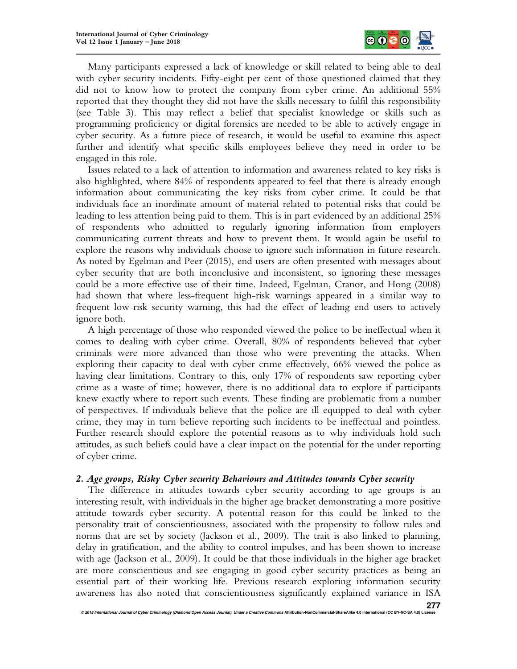

Many participants expressed a lack of knowledge or skill related to being able to deal with cyber security incidents. Fifty-eight per cent of those questioned claimed that they did not to know how to protect the company from cyber crime. An additional 55% reported that they thought they did not have the skills necessary to fulfil this responsibility (see Table 3). This may reflect a belief that specialist knowledge or skills such as programming proficiency or digital forensics are needed to be able to actively engage in cyber security. As a future piece of research, it would be useful to examine this aspect further and identify what specific skills employees believe they need in order to be engaged in this role.

Issues related to a lack of attention to information and awareness related to key risks is also highlighted, where 84% of respondents appeared to feel that there is already enough information about communicating the key risks from cyber crime. It could be that individuals face an inordinate amount of material related to potential risks that could be leading to less attention being paid to them. This is in part evidenced by an additional 25% of respondents who admitted to regularly ignoring information from employers communicating current threats and how to prevent them. It would again be useful to explore the reasons why individuals choose to ignore such information in future research. As noted by Egelman and Peer (2015), end users are often presented with messages about cyber security that are both inconclusive and inconsistent, so ignoring these messages could be a more effective use of their time. Indeed, Egelman, Cranor, and Hong (2008) had shown that where less-frequent high-risk warnings appeared in a similar way to frequent low-risk security warning, this had the effect of leading end users to actively ignore both.

A high percentage of those who responded viewed the police to be ineffectual when it comes to dealing with cyber crime. Overall, 80% of respondents believed that cyber criminals were more advanced than those who were preventing the attacks. When exploring their capacity to deal with cyber crime effectively, 66% viewed the police as having clear limitations. Contrary to this, only 17% of respondents saw reporting cyber crime as a waste of time; however, there is no additional data to explore if participants knew exactly where to report such events. These finding are problematic from a number of perspectives. If individuals believe that the police are ill equipped to deal with cyber crime, they may in turn believe reporting such incidents to be ineffectual and pointless. Further research should explore the potential reasons as to why individuals hold such attitudes, as such beliefs could have a clear impact on the potential for the under reporting of cyber crime.

## *2. Age groups, Risky Cyber security Behaviours and Attitudes towards Cyber security*

The difference in attitudes towards cyber security according to age groups is an interesting result, with individuals in the higher age bracket demonstrating a more positive attitude towards cyber security. A potential reason for this could be linked to the personality trait of conscientiousness, associated with the propensity to follow rules and norms that are set by society (Jackson et al., 2009). The trait is also linked to planning, delay in gratification, and the ability to control impulses, and has been shown to increase with age (Jackson et al., 2009). It could be that those individuals in the higher age bracket are more conscientious and see engaging in good cyber security practices as being an essential part of their working life. Previous research exploring information security awareness has also noted that conscientiousness significantly explained variance in ISA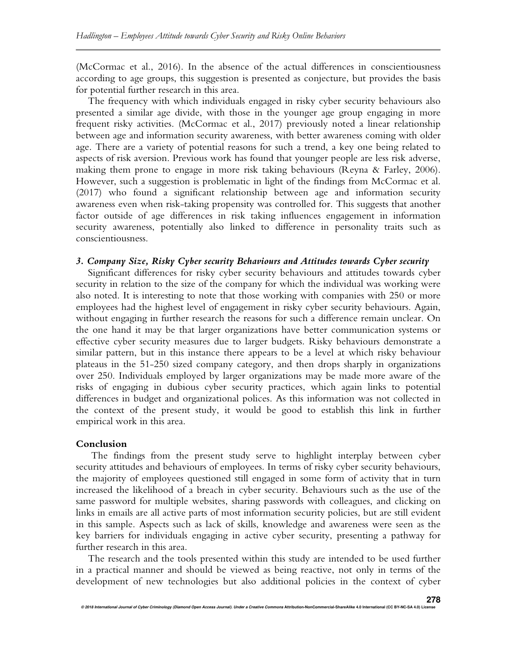(McCormac et al., 2016). In the absence of the actual differences in conscientiousness according to age groups, this suggestion is presented as conjecture, but provides the basis for potential further research in this area.

The frequency with which individuals engaged in risky cyber security behaviours also presented a similar age divide, with those in the younger age group engaging in more frequent risky activities. (McCormac et al., 2017) previously noted a linear relationship between age and information security awareness, with better awareness coming with older age. There are a variety of potential reasons for such a trend, a key one being related to aspects of risk aversion. Previous work has found that younger people are less risk adverse, making them prone to engage in more risk taking behaviours (Reyna & Farley, 2006). However, such a suggestion is problematic in light of the findings from McCormac et al. (2017) who found a significant relationship between age and information security awareness even when risk-taking propensity was controlled for. This suggests that another factor outside of age differences in risk taking influences engagement in information security awareness, potentially also linked to difference in personality traits such as conscientiousness.

# *3. Company Size, Risky Cyber security Behaviours and Attitudes towards Cyber security*

Significant differences for risky cyber security behaviours and attitudes towards cyber security in relation to the size of the company for which the individual was working were also noted. It is interesting to note that those working with companies with 250 or more employees had the highest level of engagement in risky cyber security behaviours. Again, without engaging in further research the reasons for such a difference remain unclear. On the one hand it may be that larger organizations have better communication systems or effective cyber security measures due to larger budgets. Risky behaviours demonstrate a similar pattern, but in this instance there appears to be a level at which risky behaviour plateaus in the 51-250 sized company category, and then drops sharply in organizations over 250. Individuals employed by larger organizations may be made more aware of the risks of engaging in dubious cyber security practices, which again links to potential differences in budget and organizational polices. As this information was not collected in the context of the present study, it would be good to establish this link in further empirical work in this area.

#### **Conclusion**

The findings from the present study serve to highlight interplay between cyber security attitudes and behaviours of employees. In terms of risky cyber security behaviours, the majority of employees questioned still engaged in some form of activity that in turn increased the likelihood of a breach in cyber security. Behaviours such as the use of the same password for multiple websites, sharing passwords with colleagues, and clicking on links in emails are all active parts of most information security policies, but are still evident in this sample. Aspects such as lack of skills, knowledge and awareness were seen as the key barriers for individuals engaging in active cyber security, presenting a pathway for further research in this area.

The research and the tools presented within this study are intended to be used further in a practical manner and should be viewed as being reactive, not only in terms of the development of new technologies but also additional policies in the context of cyber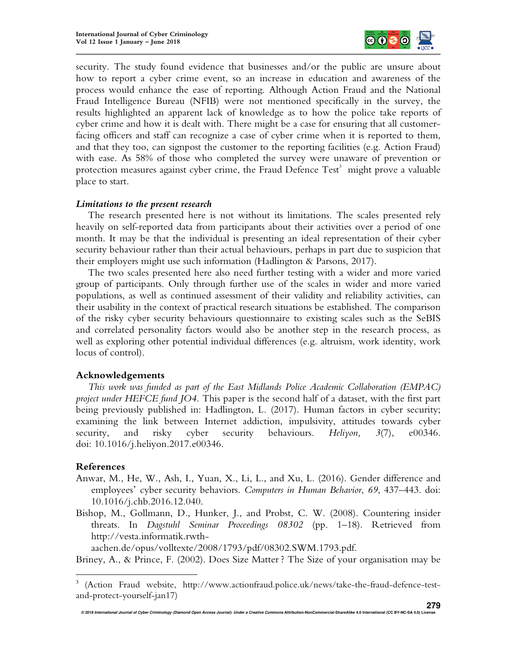

security. The study found evidence that businesses and/or the public are unsure about how to report a cyber crime event, so an increase in education and awareness of the process would enhance the ease of reporting. Although Action Fraud and the National Fraud Intelligence Bureau (NFIB) were not mentioned specifically in the survey, the results highlighted an apparent lack of knowledge as to how the police take reports of cyber crime and how it is dealt with. There might be a case for ensuring that all customerfacing officers and staff can recognize a case of cyber crime when it is reported to them, and that they too, can signpost the customer to the reporting facilities (e.g. Action Fraud) with ease. As 58% of those who completed the survey were unaware of prevention or protection measures against cyber crime, the Fraud Defence  $\mathrm{Test}^3$  might prove a valuable place to start.

# *Limitations to the present research*

The research presented here is not without its limitations. The scales presented rely heavily on self-reported data from participants about their activities over a period of one month. It may be that the individual is presenting an ideal representation of their cyber security behaviour rather than their actual behaviours, perhaps in part due to suspicion that their employers might use such information (Hadlington & Parsons, 2017).

The two scales presented here also need further testing with a wider and more varied group of participants. Only through further use of the scales in wider and more varied populations, as well as continued assessment of their validity and reliability activities, can their usability in the context of practical research situations be established. The comparison of the risky cyber security behaviours questionnaire to existing scales such as the SeBIS and correlated personality factors would also be another step in the research process, as well as exploring other potential individual differences (e.g. altruism, work identity, work locus of control).

## **Acknowledgements**

*This work was funded as part of the East Midlands Police Academic Collaboration (EMPAC) project under HEFCE fund JO4.* This paper is the second half of a dataset, with the first part being previously published in: Hadlington, L. (2017). Human factors in cyber security; examining the link between Internet addiction, impulsivity, attitudes towards cyber security, and risky cyber security behaviours. *Heliyon*,  $3(7)$ , e00346. doi: 10.1016/j.heliyon.2017.e00346.

# **References**

 $\overline{a}$ 

- Anwar, M., He, W., Ash, I., Yuan, X., Li, L., and Xu, L. (2016). Gender difference and employees' cyber security behaviors. *Computers in Human Behavior*, *69*, 437–443. doi: 10.1016/j.chb.2016.12.040.
- Bishop, M., Gollmann, D., Hunker, J., and Probst, C. W. (2008). Countering insider threats. In *Dagstuhl Seminar Proceedings 08302* (pp. 1–18). Retrieved from http://vesta.informatik.rwth-

aachen.de/opus/volltexte/2008/1793/pdf/08302.SWM.1793.pdf.

Briney, A., & Prince, F. (2002). Does Size Matter ? The Size of your organisation may be

<sup>&</sup>lt;sup>3</sup> (Action Fraud website, http://www.actionfraud.police.uk/news/take-the-fraud-defence-testand-protect-yourself-jan17)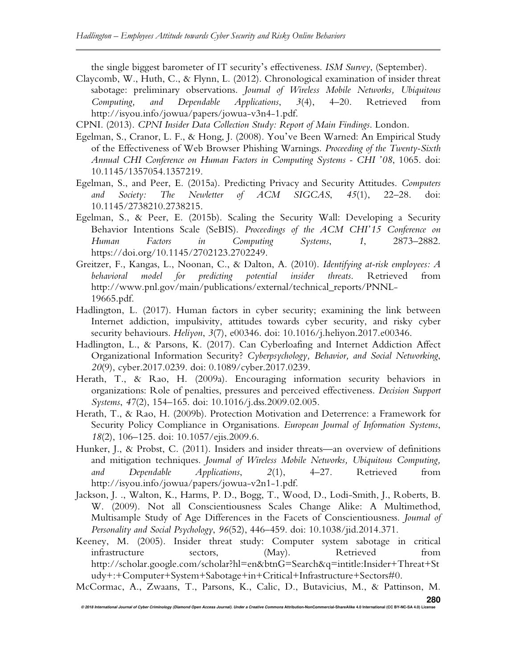the single biggest barometer of IT security's effectiveness. *ISM Survey*, (September).

Claycomb, W., Huth, C., & Flynn, L. (2012). Chronological examination of insider threat sabotage: preliminary observations. *Journal of Wireless Mobile Networks, Ubiquitous Computing, and Dependable Applications*, *3*(4), 4–20. Retrieved from http://isyou.info/jowua/papers/jowua-v3n4-1.pdf.

CPNI. (2013). *CPNI Insider Data Collection Study: Report of Main Findings*. London.

- Egelman, S., Cranor, L. F., & Hong, J. (2008). You've Been Warned: An Empirical Study of the Effectiveness of Web Browser Phishing Warnings. *Proceeding of the Twenty-Sixth Annual CHI Conference on Human Factors in Computing Systems - CHI '08*, 1065. doi: 10.1145/1357054.1357219.
- Egelman, S., and Peer, E. (2015a). Predicting Privacy and Security Attitudes. *Computers and Society: The Newletter of ACM SIGCAS*, *45*(1), 22–28. doi: 10.1145/2738210.2738215.
- Egelman, S., & Peer, E. (2015b). Scaling the Security Wall: Developing a Security Behavior Intentions Scale (SeBIS). *Proceedings of the ACM CHI'15 Conference on Human Factors in Computing Systems*, *1*, 2873–2882. https://doi.org/10.1145/2702123.2702249.
- Greitzer, F., Kangas, L., Noonan, C., & Dalton, A. (2010). *Identifying at-risk employees: A behavioral model for predicting potential insider threats*. Retrieved from http://www.pnl.gov/main/publications/external/technical\_reports/PNNL-19665.pdf.
- Hadlington, L. (2017). Human factors in cyber security; examining the link between Internet addiction, impulsivity, attitudes towards cyber security, and risky cyber security behaviours. *Heliyon*, *3*(7), e00346. doi: 10.1016/j.heliyon.2017.e00346.
- Hadlington, L., & Parsons, K. (2017). Can Cyberloafing and Internet Addiction Affect Organizational Information Security? *Cyberpsychology, Behavior, and Social Networking*, *20*(9), cyber.2017.0239. doi: 0.1089/cyber.2017.0239.
- Herath, T., & Rao, H. (2009a). Encouraging information security behaviors in organizations: Role of penalties, pressures and perceived effectiveness. *Decision Support Systems*, *47*(2), 154–165. doi: 10.1016/j.dss.2009.02.005.
- Herath, T., & Rao, H. (2009b). Protection Motivation and Deterrence: a Framework for Security Policy Compliance in Organisations. *European Journal of Information Systems*, *18*(2), 106–125. doi: 10.1057/ejis.2009.6.
- Hunker, J., & Probst, C. (2011). Insiders and insider threats—an overview of definitions and mitigation techniques. *Journal of Wireless Mobile Networks, Ubiquitous Computing, and Dependable Applications*, *2*(1), 4–27. Retrieved from http://isyou.info/jowua/papers/jowua-v2n1-1.pdf.
- Jackson, J. ., Walton, K., Harms, P. D., Bogg, T., Wood, D., Lodi-Smith, J., Roberts, B. W. (2009). Not all Conscientiousness Scales Change Alike: A Multimethod, Multisample Study of Age Differences in the Facets of Conscientiousness. *Journal of Personality and Social Psychology*, *96*(52), 446–459. doi: 10.1038/jid.2014.371.
- Keeney, M. (2005). Insider threat study: Computer system sabotage in critical infrastructure sectors, (May). Retrieved from http://scholar.google.com/scholar?hl=en&btnG=Search&q=intitle:Insider+Threat+St udy+:+Computer+System+Sabotage+in+Critical+Infrastructure+Sectors#0.
- **© 2018 International Journal of Cyber Criminology (Diamond Open Access Journal). Under a Creative Commons Attribution-NonCommercial-ShareAlike 4.0 International (CC BY-NC-SA 4.0) License 280** McCormac, A., Zwaans, T., Parsons, K., Calic, D., Butavicius, M., & Pattinson, M.